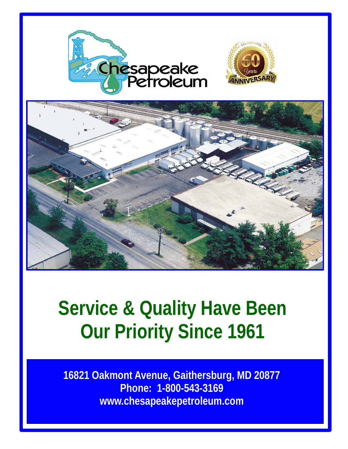



## **Service & Quality Have Been Our Priority Since 1961**

**16821 Oakmont Avenue, Gaithersburg, MD 20877 Phone: 1-800-543-3169 www.chesapeakepetroleum.com**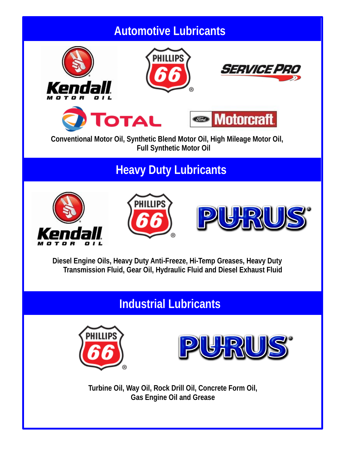# **Automotive Lubricants**  *SERVICE F* **Motorcraft** Гота **Conventional Motor Oil, Synthetic Blend Motor Oil, High Mileage Motor Oil, Full Synthetic Motor Oil Heavy Duty Lubricants**  PHILLIPS **Diesel Engine Oils, Heavy Duty Anti-Freeze, Hi-Temp Greases, Heavy Duty Transmission Fluid, Gear Oil, Hydraulic Fluid and Diesel Exhaust Fluid Heavy Duty Brands Industrial Lubricants**  PHILLIP!

**Turbine Oil, Way Oil, Rock Drill Oil, Concrete Form Oil, Gas Engine Oil and Grease**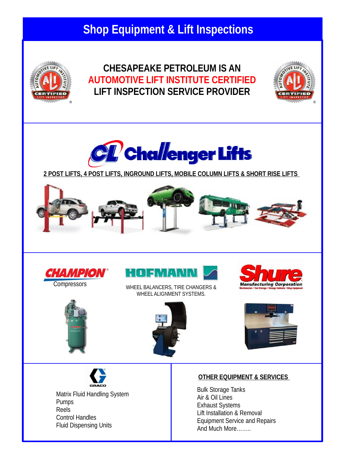## **Shop Equipment & Lift Inspections**



#### **CHESAPEAKE PETROLEUM IS AN AUTOMOTIVE LIFT INSTITUTE CERTIFIED LIFT INSPECTION SERVICE PROVIDER**





**2 POST LIFTS, 4 POST LIFTS, INGROUND LIFTS, MOBILE COLUMN LIFTS & SHORT RISE LIFTS** 











WHEEL BALANCERS, TIRE CHANGERS & WHEEL ALIGNMENT SYSTEMS.







Matrix Fluid Handling System Pumps Reels Control Handles Fluid Dispensing Units

#### **OTHER EQUIPMENT & SERVICES**

Bulk Storage Tanks Air & Oil Lines Exhaust Systems Lift Installation & Removal Equipment Service and Repairs And Much More……..